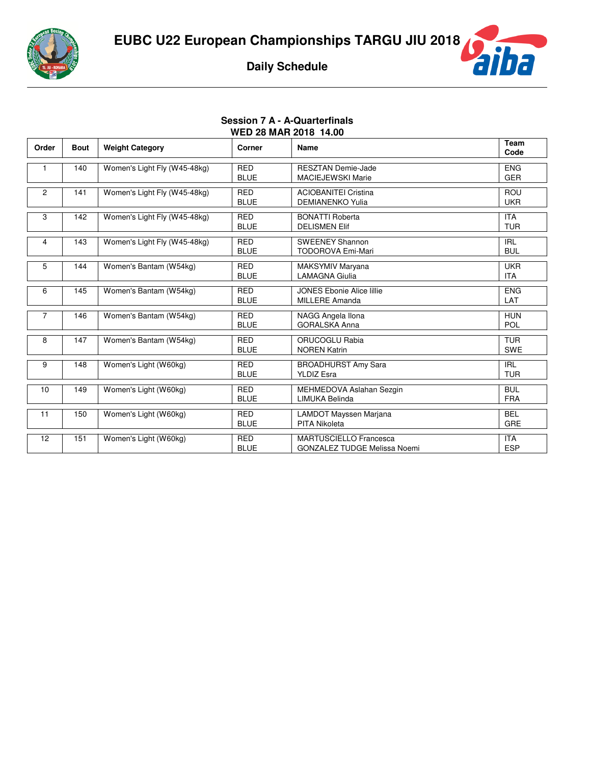



## **Session 7 A - A-Quarterfinals WED 28 MAR 2018 14.00**

| Order          | <b>Bout</b> | <b>Weight Category</b>       | Corner                    | Name                                                                 | Team<br>Code             |
|----------------|-------------|------------------------------|---------------------------|----------------------------------------------------------------------|--------------------------|
|                | 140         | Women's Light Fly (W45-48kg) | <b>RED</b><br><b>BLUE</b> | <b>RESZTAN Demie-Jade</b><br><b>MACIEJEWSKI Marie</b>                | <b>ENG</b><br><b>GER</b> |
| $\overline{2}$ | 141         | Women's Light Fly (W45-48kg) | <b>RED</b><br><b>BLUE</b> | <b>ACIOBANITEI Cristina</b><br><b>DEMIANENKO Yulia</b>               | ROU<br><b>UKR</b>        |
| 3              | 142         | Women's Light Fly (W45-48kg) | <b>RED</b><br><b>BLUE</b> | <b>BONATTI Roberta</b><br><b>DELISMEN Elif</b>                       | <b>ITA</b><br><b>TUR</b> |
| 4              | 143         | Women's Light Fly (W45-48kg) | <b>RED</b><br><b>BLUE</b> | <b>SWEENEY Shannon</b><br><b>TODOROVA Emi-Mari</b>                   | <b>IRL</b><br><b>BUL</b> |
| 5              | 144         | Women's Bantam (W54kg)       | <b>RED</b><br><b>BLUE</b> | MAKSYMIV Maryana<br><b>LAMAGNA Giulia</b>                            | <b>UKR</b><br><b>ITA</b> |
| 6              | 145         | Women's Bantam (W54kg)       | <b>RED</b><br><b>BLUE</b> | <b>JONES Ebonie Alice lillie</b><br>MILLERE Amanda                   | <b>ENG</b><br>LAT        |
| $\overline{7}$ | 146         | Women's Bantam (W54kg)       | <b>RED</b><br><b>BLUE</b> | NAGG Angela Ilona<br><b>GORALSKA Anna</b>                            | <b>HUN</b><br>POL        |
| 8              | 147         | Women's Bantam (W54kg)       | <b>RED</b><br><b>BLUE</b> | ORUCOGLU Rabia<br><b>NOREN Katrin</b>                                | <b>TUR</b><br><b>SWE</b> |
| 9              | 148         | Women's Light (W60kg)        | <b>RED</b><br><b>BLUE</b> | <b>BROADHURST Amy Sara</b><br><b>YLDIZ Esra</b>                      | <b>IRL</b><br><b>TUR</b> |
| 10             | 149         | Women's Light (W60kg)        | <b>RED</b><br><b>BLUE</b> | MEHMEDOVA Aslahan Sezgin<br>LIMUKA Belinda                           | <b>BUL</b><br><b>FRA</b> |
| 11             | 150         | Women's Light (W60kg)        | <b>RED</b><br><b>BLUE</b> | LAMDOT Mayssen Marjana<br><b>PITA Nikoleta</b>                       | <b>BEL</b><br>GRE        |
| 12             | 151         | Women's Light (W60kg)        | <b>RED</b><br><b>BLUE</b> | <b>MARTUSCIELLO Francesca</b><br><b>GONZALEZ TUDGE Melissa Noemi</b> | <b>ITA</b><br><b>ESP</b> |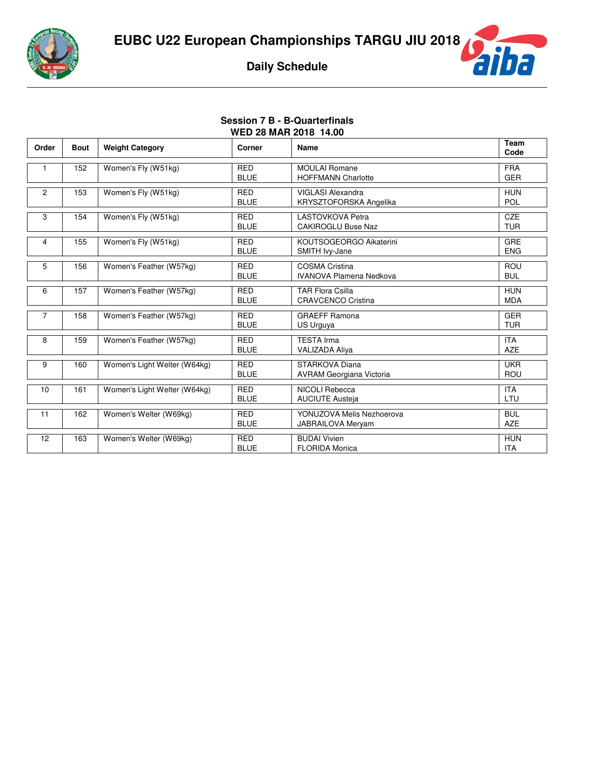



## **Session 7 B - B-Quarterfinals WED 28 MAR 2018 14.00**

| Order          | <b>Bout</b> | <b>Weight Category</b>       | Corner                    | Name                                                    | Team<br>Code             |
|----------------|-------------|------------------------------|---------------------------|---------------------------------------------------------|--------------------------|
| 1              | 152         | Women's Fly (W51kg)          | <b>RED</b><br><b>BLUE</b> | <b>MOULAI Romane</b><br><b>HOFFMANN Charlotte</b>       | <b>FRA</b><br><b>GER</b> |
| $\overline{2}$ | 153         | Women's Fly (W51kg)          | <b>RED</b><br><b>BLUE</b> | <b>VIGLASI Alexandra</b><br>KRYSZTOFORSKA Angelika      | <b>HUN</b><br><b>POL</b> |
| 3              | 154         | Women's Fly (W51kg)          | <b>RED</b><br><b>BLUE</b> | <b>LASTOVKOVA Petra</b><br><b>CAKIROGLU Buse Naz</b>    | <b>CZE</b><br><b>TUR</b> |
| 4              | 155         | Women's Fly (W51kg)          | <b>RED</b><br><b>BLUE</b> | KOUTSOGEORGO Aikaterini<br>SMITH Ivy-Jane               | <b>GRE</b><br><b>ENG</b> |
| 5              | 156         | Women's Feather (W57kg)      | <b>RED</b><br><b>BLUE</b> | <b>COSMA Cristina</b><br><b>IVANOVA Plamena Nedkova</b> | ROU<br><b>BUL</b>        |
| 6              | 157         | Women's Feather (W57kg)      | <b>RED</b><br><b>BLUE</b> | <b>TAR Flora Csilla</b><br><b>CRAVCENCO Cristina</b>    | <b>HUN</b><br><b>MDA</b> |
| 7              | 158         | Women's Feather (W57kg)      | <b>RED</b><br><b>BLUE</b> | <b>GRAEFF Ramona</b><br>US Urguya                       | <b>GER</b><br><b>TUR</b> |
| 8              | 159         | Women's Feather (W57kg)      | <b>RED</b><br><b>BLUE</b> | <b>TESTA Irma</b><br><b>VALIZADA Aliya</b>              | <b>ITA</b><br><b>AZE</b> |
| 9              | 160         | Women's Light Welter (W64kg) | <b>RED</b><br><b>BLUE</b> | STARKOVA Diana<br><b>AVRAM Georgiana Victoria</b>       | <b>UKR</b><br>ROU        |
| 10             | 161         | Women's Light Welter (W64kg) | <b>RED</b><br><b>BLUE</b> | NICOLI Rebecca<br><b>AUCIUTE Austeja</b>                | <b>ITA</b><br>LTU        |
| 11             | 162         | Women's Welter (W69kg)       | <b>RED</b><br><b>BLUE</b> | YONUZOVA Melis Nezhoerova<br><b>JABRAILOVA Meryam</b>   | <b>BUL</b><br><b>AZE</b> |
| 12             | 163         | Women's Welter (W69kg)       | <b>RED</b><br><b>BLUE</b> | <b>BUDAI Vivien</b><br><b>FLORIDA Monica</b>            | <b>HUN</b><br><b>ITA</b> |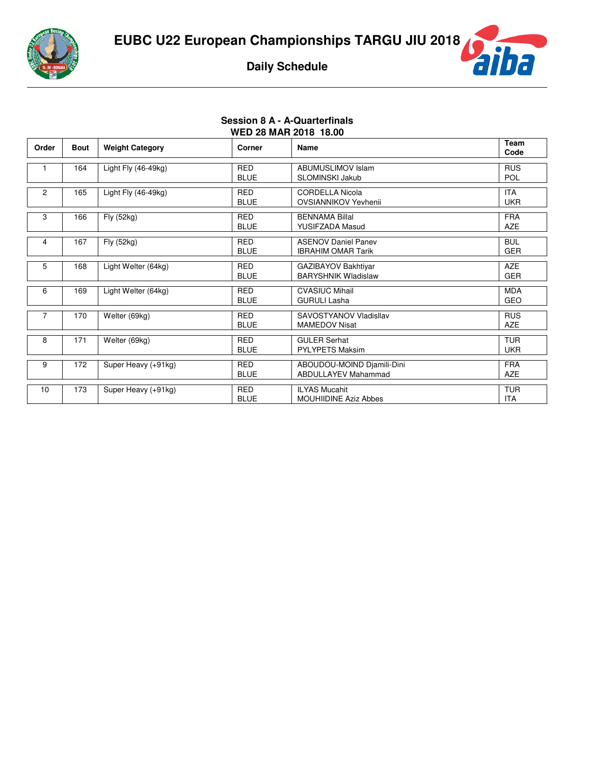



## **Session 8 A - A-Quarterfinals WED 28 MAR 2018 18.00**

| Order          | <b>Bout</b> | <b>Weight Category</b> | Corner                    | <b>Name</b>                                              | Team<br>Code             |
|----------------|-------------|------------------------|---------------------------|----------------------------------------------------------|--------------------------|
|                | 164         | Light Fly $(46-49kg)$  | <b>RED</b><br><b>BLUE</b> | <b>ABUMUSLIMOV Islam</b><br><b>SLOMINSKI Jakub</b>       | <b>RUS</b><br><b>POL</b> |
| $\overline{2}$ | 165         | Light Fly (46-49kg)    | <b>RED</b><br><b>BLUE</b> | <b>CORDELLA Nicola</b><br>OVSIANNIKOV Yevhenii           | <b>ITA</b><br><b>UKR</b> |
| 3              | 166         | Fly (52kg)             | <b>RED</b><br><b>BLUE</b> | <b>BENNAMA Billal</b><br><b>YUSIFZADA Masud</b>          | <b>FRA</b><br><b>AZE</b> |
| 4              | 167         | Fly (52kg)             | <b>RED</b><br><b>BLUE</b> | <b>ASENOV Daniel Panev</b><br><b>IBRAHIM OMAR Tarik</b>  | <b>BUL</b><br><b>GER</b> |
| 5              | 168         | Light Welter (64kg)    | <b>RED</b><br><b>BLUE</b> | GAZIBAYOV Bakhtiyar<br><b>BARYSHNIK Wladislaw</b>        | <b>AZE</b><br><b>GER</b> |
| 6              | 169         | Light Welter (64kg)    | <b>RED</b><br><b>BLUE</b> | <b>CVASIUC Mihail</b><br><b>GURULI Lasha</b>             | <b>MDA</b><br><b>GEO</b> |
| 7              | 170         | Welter (69kg)          | <b>RED</b><br><b>BLUE</b> | SAVOSTYANOV Vladisllav<br><b>MAMEDOV Nisat</b>           | <b>RUS</b><br><b>AZE</b> |
| 8              | 171         | Welter (69kg)          | <b>RED</b><br><b>BLUE</b> | <b>GULER Serhat</b><br><b>PYLYPETS Maksim</b>            | <b>TUR</b><br><b>UKR</b> |
| 9              | 172         | Super Heavy (+91kg)    | <b>RED</b><br><b>BLUE</b> | ABOUDOU-MOIND Djamili-Dini<br><b>ABDULLAYEV Mahammad</b> | <b>FRA</b><br><b>AZE</b> |
| 10             | 173         | Super Heavy (+91kg)    | <b>RED</b><br><b>BLUE</b> | <b>ILYAS Mucahit</b><br><b>MOUHIIDINE Aziz Abbes</b>     | <b>TUR</b><br><b>ITA</b> |